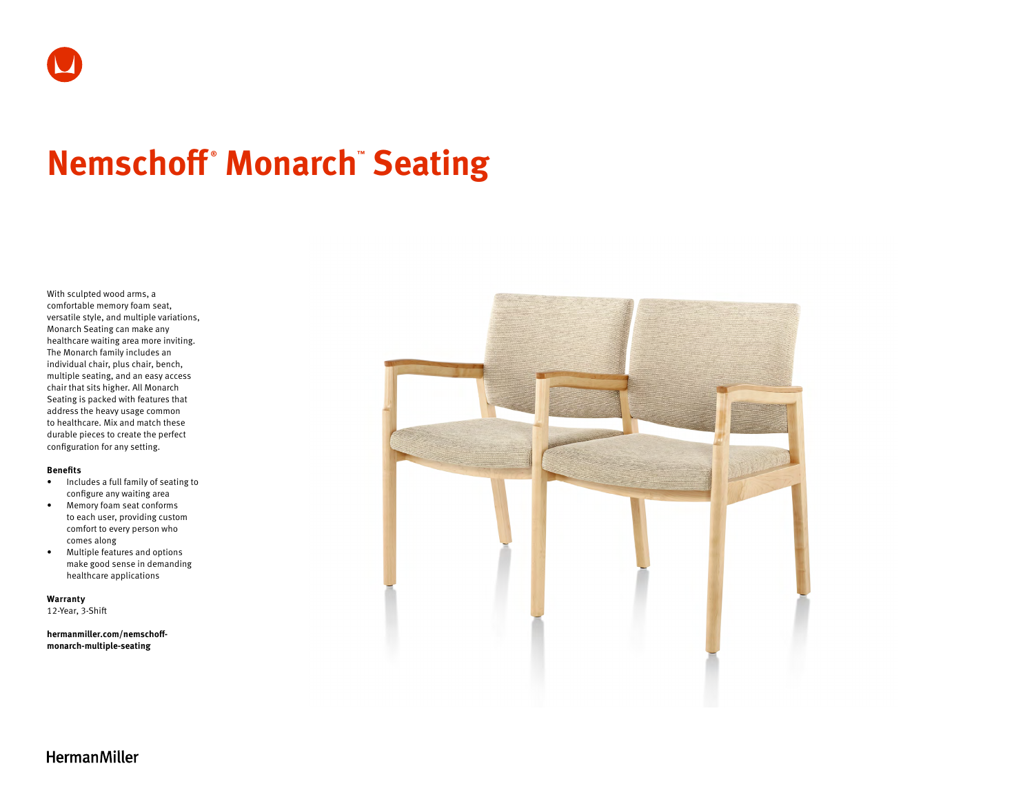# **Nemschoff ® Monarch™ Seating**

With sculpted wood arms, a comfortable memory foam seat, versatile style, and multiple variations, Monarch Seating can make any healthcare waiting area more inviting. The Monarch family includes an individual chair, plus chair, bench, multiple seating, and an easy access chair that sits higher. All Monarch Seating is packed with features that address the heavy usage common to healthcare. Mix and match these durable pieces to create the perfect configuration for any setting.

## **Benefits**

- Includes a full family of seating to configure any waiting area
- Memory foam seat conforms to each user, providing custom comfort to every person who comes along
- Multiple features and options make good sense in demanding healthcare applications

**Warranty**  12-Year, 3-Shift

**[hermanmiller.com/nemschoff](http://hermanmiller.com/nemschoff-monarch-multiple-seating)[monarch-multiple-seating](http://hermanmiller.com/nemschoff-monarch-multiple-seating)**